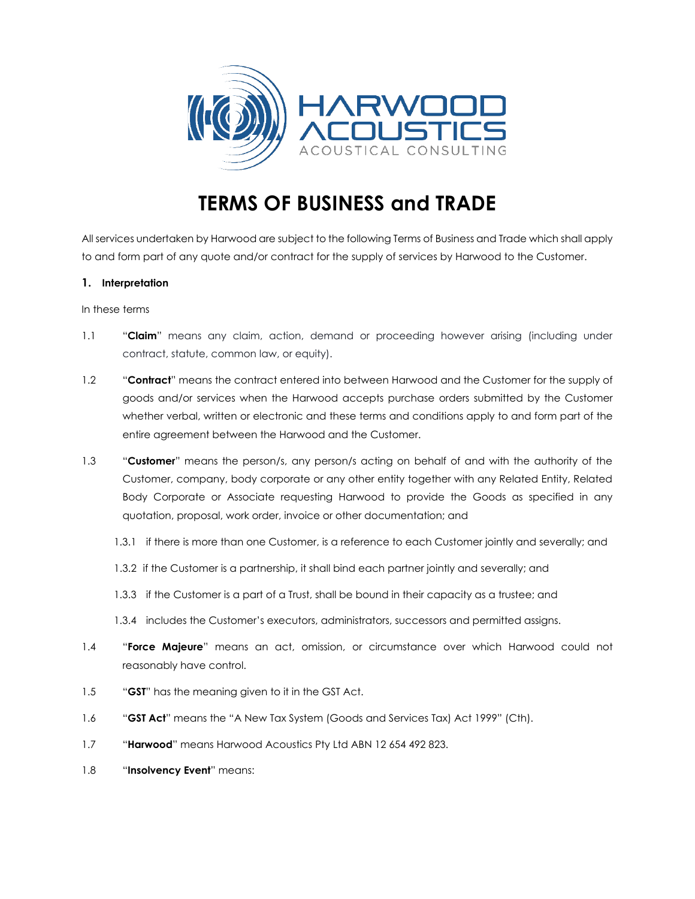

# **TERMS OF BUSINESS and TRADE**

All services undertaken by Harwood are subject to the following Terms of Business and Trade which shall apply to and form part of any quote and/or contract for the supply of services by Harwood to the Customer.

# **1. Interpretation**

In these terms

- 1.1 "**Claim**" means any claim, action, demand or proceeding however arising (including under contract, statute, common law, or equity).
- 1.2 "**Contract**" means the contract entered into between Harwood and the Customer for the supply of goods and/or services when the Harwood accepts purchase orders submitted by the Customer whether verbal, written or electronic and these terms and conditions apply to and form part of the entire agreement between the Harwood and the Customer.
- 1.3 "**Customer**" means the person/s, any person/s acting on behalf of and with the authority of the Customer, company, body corporate or any other entity together with any Related Entity, Related Body Corporate or Associate requesting Harwood to provide the Goods as specified in any quotation, proposal, work order, invoice or other documentation; and
	- 1.3.1 if there is more than one Customer, is a reference to each Customer jointly and severally; and
	- 1.3.2 if the Customer is a partnership, it shall bind each partner jointly and severally; and
	- 1.3.3 if the Customer is a part of a Trust, shall be bound in their capacity as a trustee; and
	- 1.3.4 includes the Customer's executors, administrators, successors and permitted assigns.
- 1.4 "**Force Majeure**" means an act, omission, or circumstance over which Harwood could not reasonably have control.
- 1.5 "**GST**" has the meaning given to it in the GST Act.
- 1.6 "**GST Act**" means the "A New Tax System (Goods and Services Tax) Act 1999" (Cth).
- 1.7 "**Harwood**" means Harwood Acoustics Pty Ltd ABN 12 654 492 823.
- 1.8 "**Insolvency Event**" means: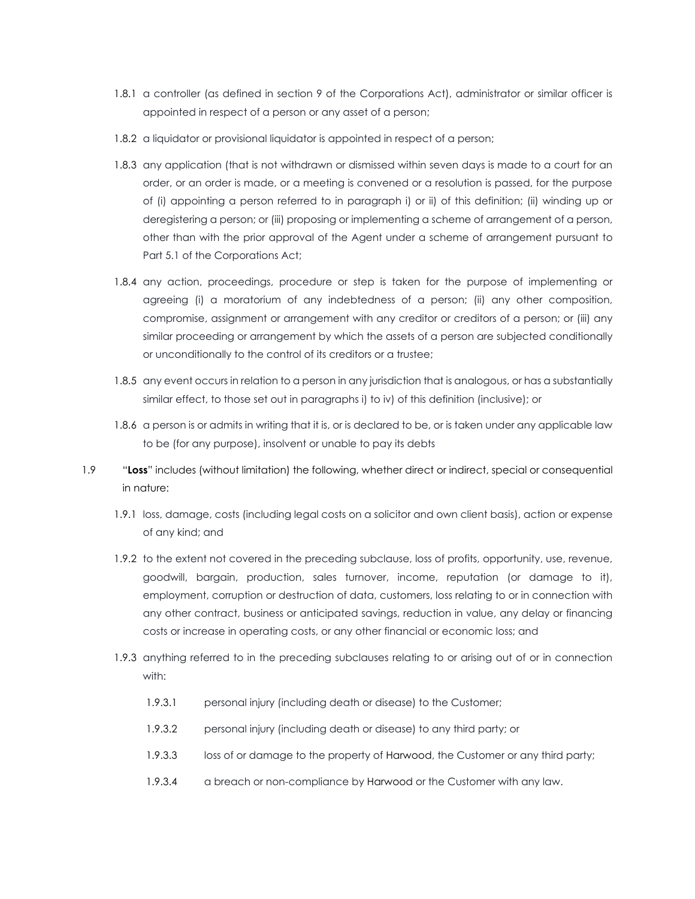- 1.8.1 a controller (as defined in section 9 of the Corporations Act), administrator or similar officer is appointed in respect of a person or any asset of a person;
- 1.8.2 a liquidator or provisional liquidator is appointed in respect of a person;
- 1.8.3 any application (that is not withdrawn or dismissed within seven days is made to a court for an order, or an order is made, or a meeting is convened or a resolution is passed, for the purpose of (i) appointing a person referred to in paragraph i) or ii) of this definition; (ii) winding up or deregistering a person; or (iii) proposing or implementing a scheme of arrangement of a person, other than with the prior approval of the Agent under a scheme of arrangement pursuant to Part 5.1 of the Corporations Act;
- 1.8.4 any action, proceedings, procedure or step is taken for the purpose of implementing or agreeing (i) a moratorium of any indebtedness of a person; (ii) any other composition, compromise, assignment or arrangement with any creditor or creditors of a person; or (iii) any similar proceeding or arrangement by which the assets of a person are subjected conditionally or unconditionally to the control of its creditors or a trustee;
- 1.8.5 any event occurs in relation to a person in any jurisdiction that is analogous, or has a substantially similar effect, to those set out in paragraphs i) to iv) of this definition (inclusive); or
- 1.8.6 a person is or admits in writing that it is, or is declared to be, or is taken under any applicable law to be (for any purpose), insolvent or unable to pay its debts
- 1.9 "**Loss**" includes (without limitation) the following, whether direct or indirect, special or consequential in nature:
	- 1.9.1 loss, damage, costs (including legal costs on a solicitor and own client basis), action or expense of any kind; and
	- 1.9.2 to the extent not covered in the preceding subclause, loss of profits, opportunity, use, revenue, goodwill, bargain, production, sales turnover, income, reputation (or damage to it), employment, corruption or destruction of data, customers, loss relating to or in connection with any other contract, business or anticipated savings, reduction in value, any delay or financing costs or increase in operating costs, or any other financial or economic loss; and
	- 1.9.3 anything referred to in the preceding subclauses relating to or arising out of or in connection with:
		- 1.9.3.1 personal injury (including death or disease) to the Customer;
		- 1.9.3.2 personal injury (including death or disease) to any third party; or
		- 1.9.3.3 loss of or damage to the property of Harwood, the Customer or any third party;
		- 1.9.3.4 a breach or non-compliance by Harwood or the Customer with any law.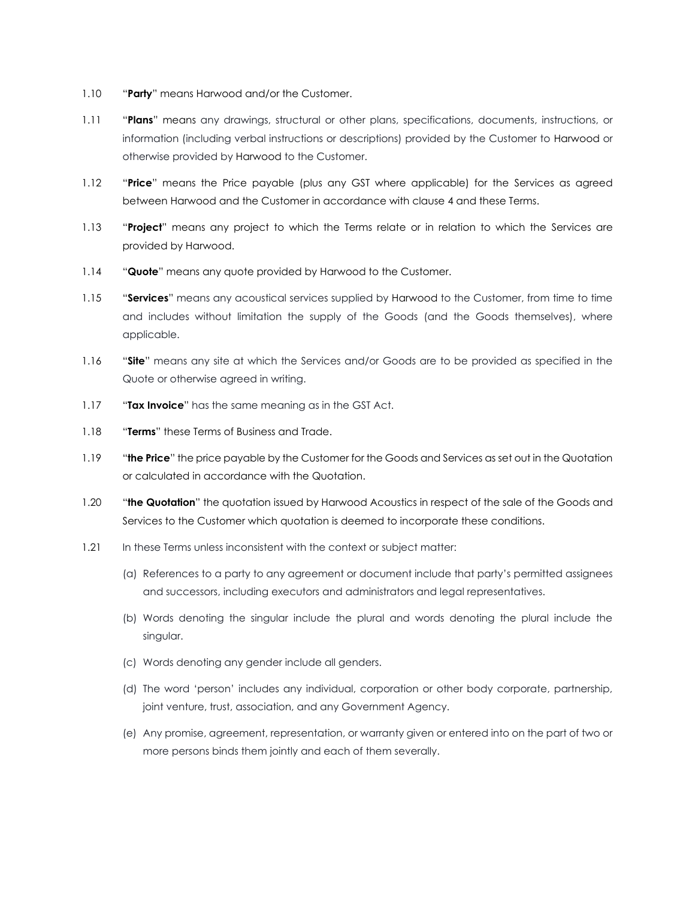- 1.10 "**Party**" means Harwood and/or the Customer.
- 1.11 "**Plans**" means any drawings, structural or other plans, specifications, documents, instructions, or information (including verbal instructions or descriptions) provided by the Customer to Harwood or otherwise provided by Harwood to the Customer.
- 1.12 "**Price**" means the Price payable (plus any GST where applicable) for the Services as agreed between Harwood and the Customer in accordance with clause 4 and these Terms.
- 1.13 "**Project**" means any project to which the Terms relate or in relation to which the Services are provided by Harwood.
- 1.14 "**Quote**" means any quote provided by Harwood to the Customer.
- 1.15 "**Services**" means any acoustical services supplied by Harwood to the Customer, from time to time and includes without limitation the supply of the Goods (and the Goods themselves), where applicable.
- 1.16 "**Site**" means any site at which the Services and/or Goods are to be provided as specified in the Quote or otherwise agreed in writing.
- 1.17 "**Tax Invoice**" has the same meaning as in the GST Act.
- 1.18 "**Terms**" these Terms of Business and Trade.
- 1.19 "**the Price**" the price payable by the Customer for the Goods and Services as set out in the Quotation or calculated in accordance with the Quotation.
- 1.20 "**the Quotation**" the quotation issued by Harwood Acoustics in respect of the sale of the Goods and Services to the Customer which quotation is deemed to incorporate these conditions.
- 1.21 In these Terms unless inconsistent with the context or subject matter:
	- (a) References to a party to any agreement or document include that party's permitted assignees and successors, including executors and administrators and legal representatives.
	- (b) Words denoting the singular include the plural and words denoting the plural include the singular.
	- (c) Words denoting any gender include all genders.
	- (d) The word 'person' includes any individual, corporation or other body corporate, partnership, joint venture, trust, association, and any Government Agency.
	- (e) Any promise, agreement, representation, or warranty given or entered into on the part of two or more persons binds them jointly and each of them severally.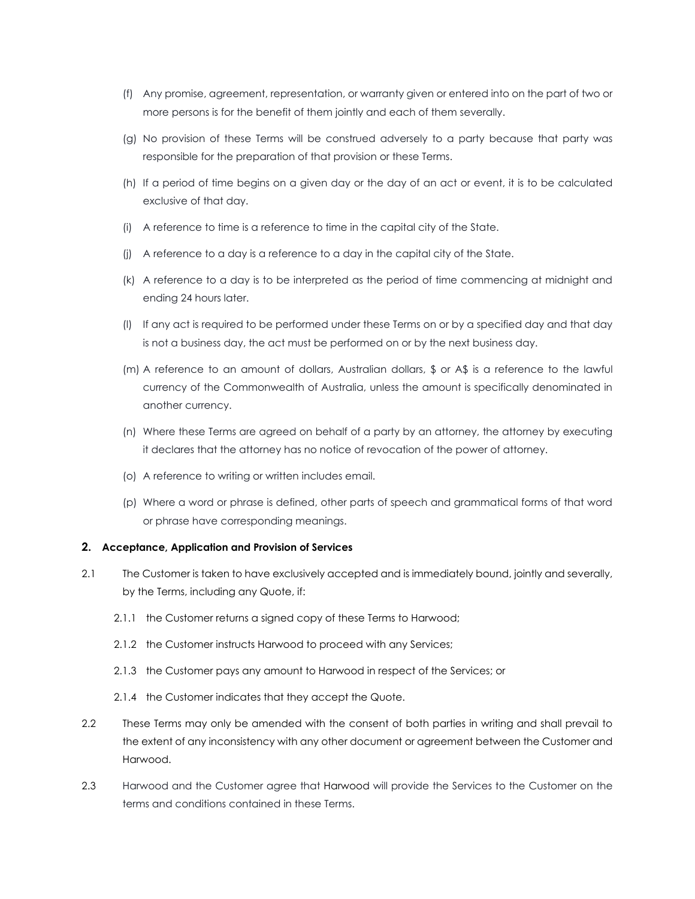- (f) Any promise, agreement, representation, or warranty given or entered into on the part of two or more persons is for the benefit of them jointly and each of them severally.
- (g) No provision of these Terms will be construed adversely to a party because that party was responsible for the preparation of that provision or these Terms.
- (h) If a period of time begins on a given day or the day of an act or event, it is to be calculated exclusive of that day.
- (i) A reference to time is a reference to time in the capital city of the State.
- (j) A reference to a day is a reference to a day in the capital city of the State.
- (k) A reference to a day is to be interpreted as the period of time commencing at midnight and ending 24 hours later.
- (l) If any act is required to be performed under these Terms on or by a specified day and that day is not a business day, the act must be performed on or by the next business day.
- (m) A reference to an amount of dollars, Australian dollars, \$ or A\$ is a reference to the lawful currency of the Commonwealth of Australia, unless the amount is specifically denominated in another currency.
- (n) Where these Terms are agreed on behalf of a party by an attorney, the attorney by executing it declares that the attorney has no notice of revocation of the power of attorney.
- (o) A reference to writing or written includes email.
- (p) Where a word or phrase is defined, other parts of speech and grammatical forms of that word or phrase have corresponding meanings.

#### **2. Acceptance, Application and Provision of Services**

- 2.1 The Customer is taken to have exclusively accepted and is immediately bound, jointly and severally, by the Terms, including any Quote, if:
	- 2.1.1 the Customer returns a signed copy of these Terms to Harwood;
	- 2.1.2 the Customer instructs Harwood to proceed with any Services;
	- 2.1.3 the Customer pays any amount to Harwood in respect of the Services; or
	- 2.1.4 the Customer indicates that they accept the Quote.
- 2.2 These Terms may only be amended with the consent of both parties in writing and shall prevail to the extent of any inconsistency with any other document or agreement between the Customer and Harwood.
- 2.3 Harwood and the Customer agree that Harwood will provide the Services to the Customer on the terms and conditions contained in these Terms.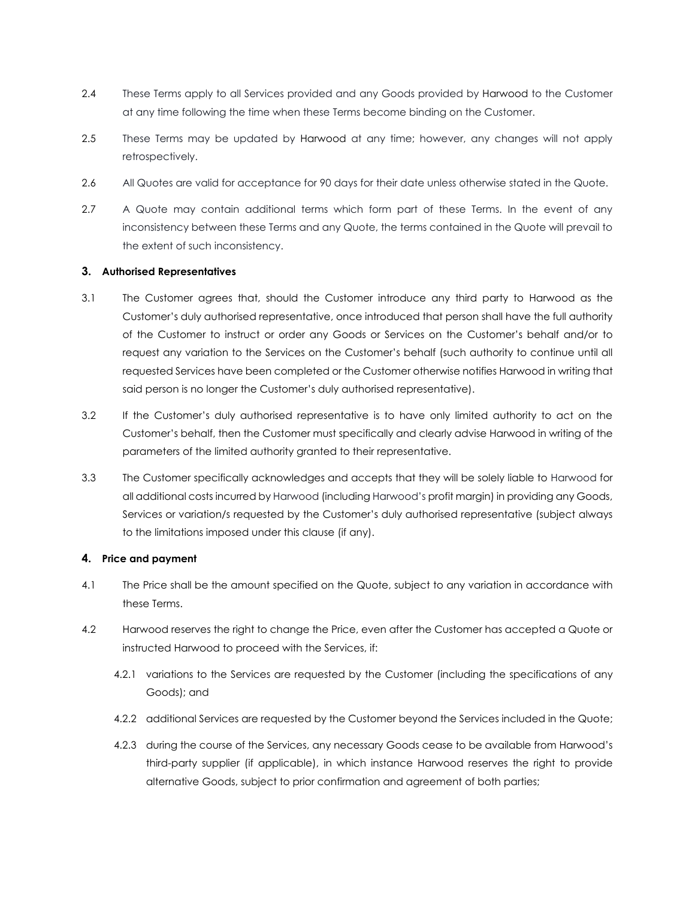- 2.4 These Terms apply to all Services provided and any Goods provided by Harwood to the Customer at any time following the time when these Terms become binding on the Customer.
- 2.5 These Terms may be updated by Harwood at any time; however, any changes will not apply retrospectively.
- 2.6 All Quotes are valid for acceptance for 90 days for their date unless otherwise stated in the Quote.
- 2.7 A Quote may contain additional terms which form part of these Terms. In the event of any inconsistency between these Terms and any Quote, the terms contained in the Quote will prevail to the extent of such inconsistency.

# **3. Authorised Representatives**

- 3.1 The Customer agrees that, should the Customer introduce any third party to Harwood as the Customer's duly authorised representative, once introduced that person shall have the full authority of the Customer to instruct or order any Goods or Services on the Customer's behalf and/or to request any variation to the Services on the Customer's behalf (such authority to continue until all requested Services have been completed or the Customer otherwise notifies Harwood in writing that said person is no longer the Customer's duly authorised representative).
- 3.2 If the Customer's duly authorised representative is to have only limited authority to act on the Customer's behalf, then the Customer must specifically and clearly advise Harwood in writing of the parameters of the limited authority granted to their representative.
- 3.3 The Customer specifically acknowledges and accepts that they will be solely liable to Harwood for all additional costs incurred by Harwood (including Harwood's profit margin) in providing any Goods, Services or variation/s requested by the Customer's duly authorised representative (subject always to the limitations imposed under this clause (if any).

# **4. Price and payment**

- 4.1 The Price shall be the amount specified on the Quote, subject to any variation in accordance with these Terms.
- 4.2 Harwood reserves the right to change the Price, even after the Customer has accepted a Quote or instructed Harwood to proceed with the Services, if:
	- 4.2.1 variations to the Services are requested by the Customer (including the specifications of any Goods); and
	- 4.2.2 additional Services are requested by the Customer beyond the Services included in the Quote;
	- 4.2.3 during the course of the Services, any necessary Goods cease to be available from Harwood's third-party supplier (if applicable), in which instance Harwood reserves the right to provide alternative Goods, subject to prior confirmation and agreement of both parties;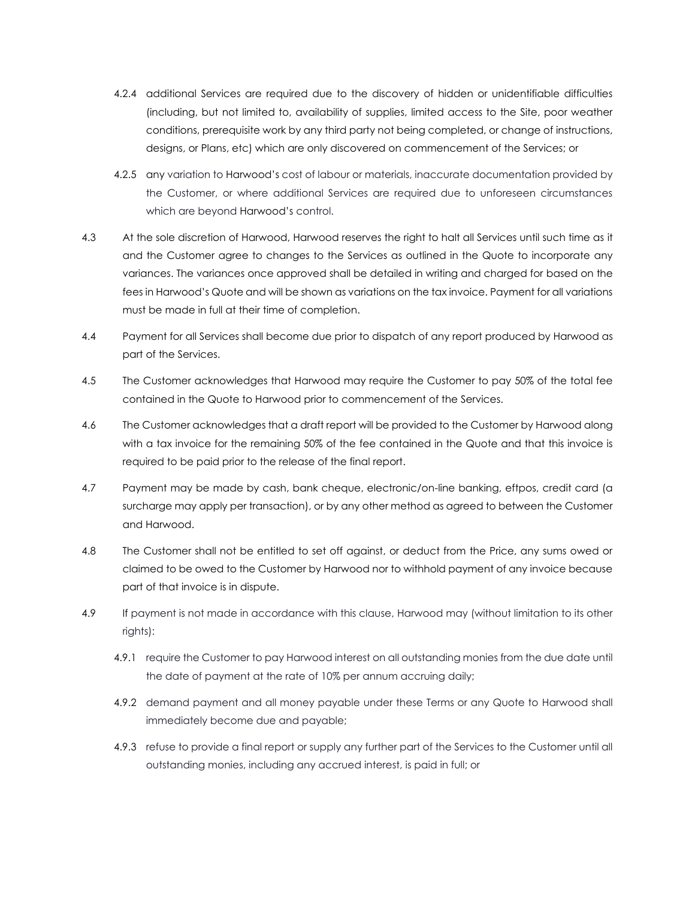- 4.2.4 additional Services are required due to the discovery of hidden or unidentifiable difficulties (including, but not limited to, availability of supplies, limited access to the Site, poor weather conditions, prerequisite work by any third party not being completed, or change of instructions, designs, or Plans, etc) which are only discovered on commencement of the Services; or
- 4.2.5 any variation to Harwood's cost of labour or materials, inaccurate documentation provided by the Customer, or where additional Services are required due to unforeseen circumstances which are beyond Harwood's control.
- 4.3 At the sole discretion of Harwood, Harwood reserves the right to halt all Services until such time as it and the Customer agree to changes to the Services as outlined in the Quote to incorporate any variances. The variances once approved shall be detailed in writing and charged for based on the fees in Harwood's Quote and will be shown as variations on the tax invoice. Payment for all variations must be made in full at their time of completion.
- 4.4 Payment for all Services shall become due prior to dispatch of any report produced by Harwood as part of the Services.
- 4.5 The Customer acknowledges that Harwood may require the Customer to pay 50% of the total fee contained in the Quote to Harwood prior to commencement of the Services.
- 4.6 The Customer acknowledges that a draft report will be provided to the Customer by Harwood along with a tax invoice for the remaining 50% of the fee contained in the Quote and that this invoice is required to be paid prior to the release of the final report.
- 4.7 Payment may be made by cash, bank cheque, electronic/on-line banking, eftpos, credit card (a surcharge may apply per transaction), or by any other method as agreed to between the Customer and Harwood.
- 4.8 The Customer shall not be entitled to set off against, or deduct from the Price, any sums owed or claimed to be owed to the Customer by Harwood nor to withhold payment of any invoice because part of that invoice is in dispute.
- 4.9 If payment is not made in accordance with this clause, Harwood may (without limitation to its other rights):
	- 4.9.1 require the Customer to pay Harwood interest on all outstanding monies from the due date until the date of payment at the rate of 10% per annum accruing daily;
	- 4.9.2 demand payment and all money payable under these Terms or any Quote to Harwood shall immediately become due and payable;
	- 4.9.3 refuse to provide a final report or supply any further part of the Services to the Customer until all outstanding monies, including any accrued interest, is paid in full; or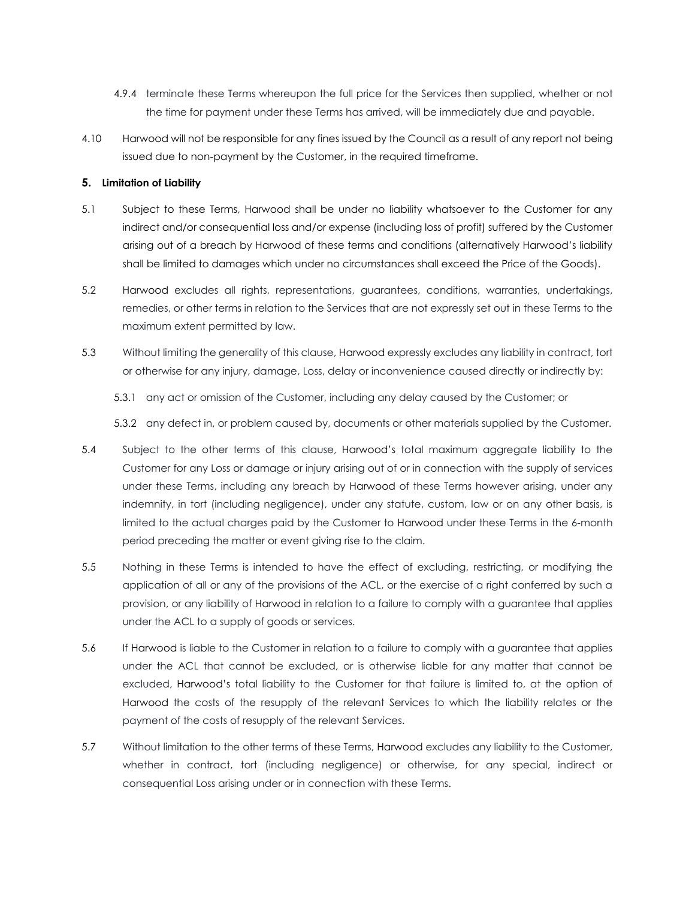- 4.9.4 terminate these Terms whereupon the full price for the Services then supplied, whether or not the time for payment under these Terms has arrived, will be immediately due and payable.
- 4.10 Harwood will not be responsible for any fines issued by the Council as a result of any report not being issued due to non-payment by the Customer, in the required timeframe.

# **5. Limitation of Liability**

- 5.1 Subject to these Terms, Harwood shall be under no liability whatsoever to the Customer for any indirect and/or consequential loss and/or expense (including loss of profit) suffered by the Customer arising out of a breach by Harwood of these terms and conditions (alternatively Harwood's liability shall be limited to damages which under no circumstances shall exceed the Price of the Goods).
- 5.2 Harwood excludes all rights, representations, guarantees, conditions, warranties, undertakings, remedies, or other terms in relation to the Services that are not expressly set out in these Terms to the maximum extent permitted by law.
- 5.3 Without limiting the generality of this clause, Harwood expressly excludes any liability in contract, tort or otherwise for any injury, damage, Loss, delay or inconvenience caused directly or indirectly by:
	- 5.3.1 any act or omission of the Customer, including any delay caused by the Customer; or

5.3.2 any defect in, or problem caused by, documents or other materials supplied by the Customer.

- 5.4 Subject to the other terms of this clause, Harwood's total maximum aggregate liability to the Customer for any Loss or damage or injury arising out of or in connection with the supply of services under these Terms, including any breach by Harwood of these Terms however arising, under any indemnity, in tort (including negligence), under any statute, custom, law or on any other basis, is limited to the actual charges paid by the Customer to Harwood under these Terms in the 6-month period preceding the matter or event giving rise to the claim.
- 5.5 Nothing in these Terms is intended to have the effect of excluding, restricting, or modifying the application of all or any of the provisions of the ACL, or the exercise of a right conferred by such a provision, or any liability of Harwood in relation to a failure to comply with a guarantee that applies under the ACL to a supply of goods or services.
- 5.6 If Harwood is liable to the Customer in relation to a failure to comply with a guarantee that applies under the ACL that cannot be excluded, or is otherwise liable for any matter that cannot be excluded, Harwood's total liability to the Customer for that failure is limited to, at the option of Harwood the costs of the resupply of the relevant Services to which the liability relates or the payment of the costs of resupply of the relevant Services.
- 5.7 Without limitation to the other terms of these Terms, Harwood excludes any liability to the Customer, whether in contract, tort (including negligence) or otherwise, for any special, indirect or consequential Loss arising under or in connection with these Terms.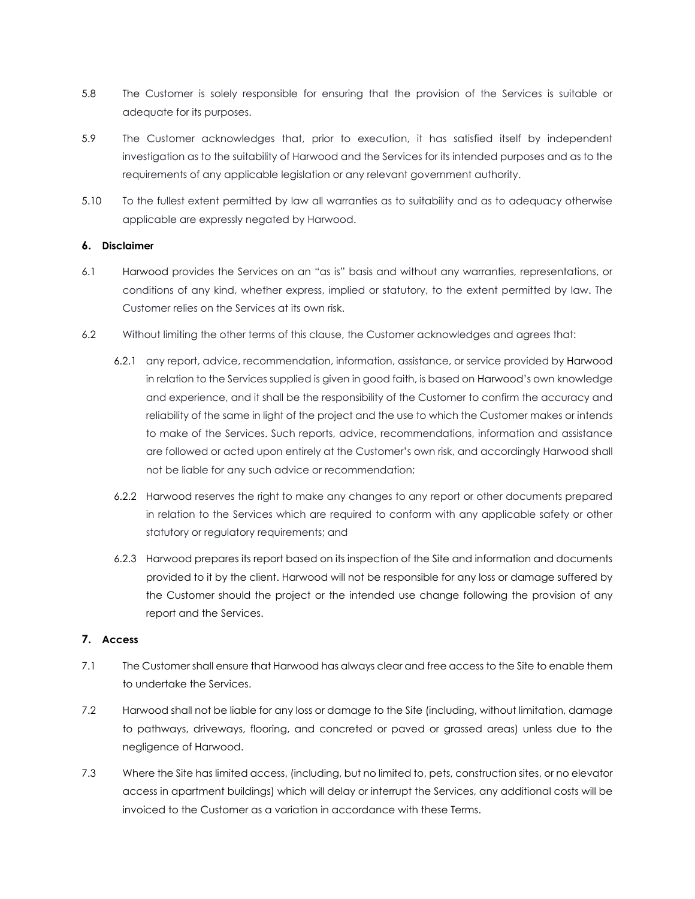- 5.8 The Customer is solely responsible for ensuring that the provision of the Services is suitable or adequate for its purposes.
- 5.9 The Customer acknowledges that, prior to execution, it has satisfied itself by independent investigation as to the suitability of Harwood and the Services for its intended purposes and as to the requirements of any applicable legislation or any relevant government authority.
- 5.10 To the fullest extent permitted by law all warranties as to suitability and as to adequacy otherwise applicable are expressly negated by Harwood.

# **6. Disclaimer**

- 6.1 Harwood provides the Services on an "as is" basis and without any warranties, representations, or conditions of any kind, whether express, implied or statutory, to the extent permitted by law. The Customer relies on the Services at its own risk.
- 6.2 Without limiting the other terms of this clause, the Customer acknowledges and agrees that:
	- 6.2.1 any report, advice, recommendation, information, assistance, or service provided by Harwood in relation to the Services supplied is given in good faith, is based on Harwood's own knowledge and experience, and it shall be the responsibility of the Customer to confirm the accuracy and reliability of the same in light of the project and the use to which the Customer makes or intends to make of the Services. Such reports, advice, recommendations, information and assistance are followed or acted upon entirely at the Customer's own risk, and accordingly Harwood shall not be liable for any such advice or recommendation;
	- 6.2.2 Harwood reserves the right to make any changes to any report or other documents prepared in relation to the Services which are required to conform with any applicable safety or other statutory or regulatory requirements; and
	- 6.2.3 Harwood prepares its report based on its inspection of the Site and information and documents provided to it by the client. Harwood will not be responsible for any loss or damage suffered by the Customer should the project or the intended use change following the provision of any report and the Services.

# **7. Access**

- 7.1 The Customer shall ensure that Harwood has always clear and free access to the Site to enable them to undertake the Services.
- 7.2 Harwood shall not be liable for any loss or damage to the Site (including, without limitation, damage to pathways, driveways, flooring, and concreted or paved or grassed areas) unless due to the negligence of Harwood.
- 7.3 Where the Site has limited access, (including, but no limited to, pets, construction sites, or no elevator access in apartment buildings) which will delay or interrupt the Services, any additional costs will be invoiced to the Customer as a variation in accordance with these Terms.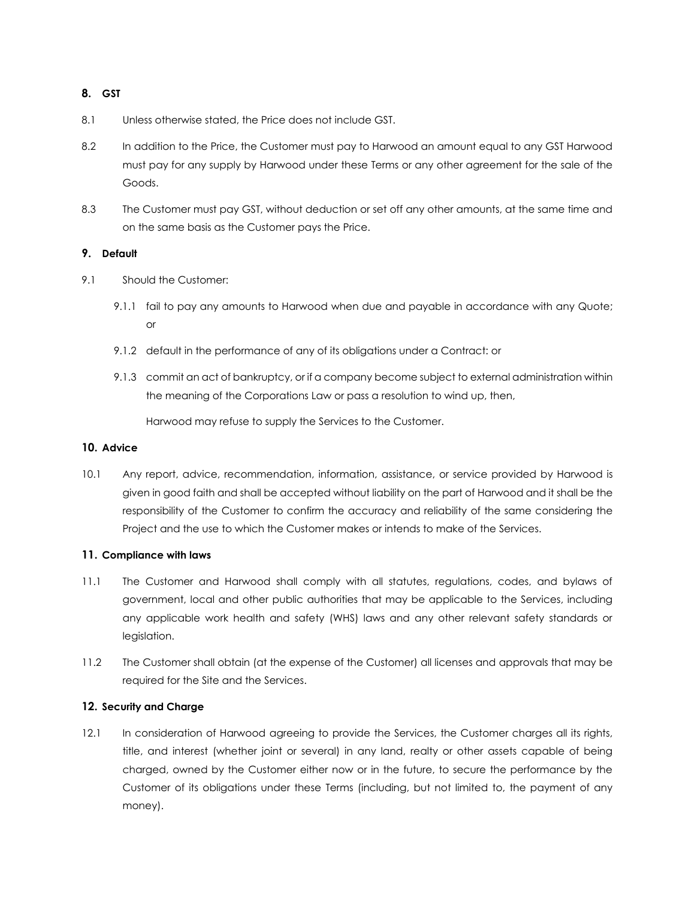# **8. GST**

- 8.1 Unless otherwise stated, the Price does not include GST.
- 8.2 In addition to the Price, the Customer must pay to Harwood an amount equal to any GST Harwood must pay for any supply by Harwood under these Terms or any other agreement for the sale of the Goods.
- 8.3 The Customer must pay GST, without deduction or set off any other amounts, at the same time and on the same basis as the Customer pays the Price.

# **9. Default**

- 9.1 Should the Customer:
	- 9.1.1 fail to pay any amounts to Harwood when due and payable in accordance with any Quote; or
	- 9.1.2 default in the performance of any of its obligations under a Contract: or
	- 9.1.3 commit an act of bankruptcy, or if a company become subject to external administration within the meaning of the Corporations Law or pass a resolution to wind up, then,

Harwood may refuse to supply the Services to the Customer.

# **10. Advice**

10.1 Any report, advice, recommendation, information, assistance, or service provided by Harwood is given in good faith and shall be accepted without liability on the part of Harwood and it shall be the responsibility of the Customer to confirm the accuracy and reliability of the same considering the Project and the use to which the Customer makes or intends to make of the Services.

# **11. Compliance with laws**

- 11.1 The Customer and Harwood shall comply with all statutes, regulations, codes, and bylaws of government, local and other public authorities that may be applicable to the Services, including any applicable work health and safety (WHS) laws and any other relevant safety standards or legislation.
- 11.2 The Customer shall obtain (at the expense of the Customer) all licenses and approvals that may be required for the Site and the Services.

# **12. Security and Charge**

12.1 In consideration of Harwood agreeing to provide the Services, the Customer charges all its rights, title, and interest (whether joint or several) in any land, realty or other assets capable of being charged, owned by the Customer either now or in the future, to secure the performance by the Customer of its obligations under these Terms (including, but not limited to, the payment of any money).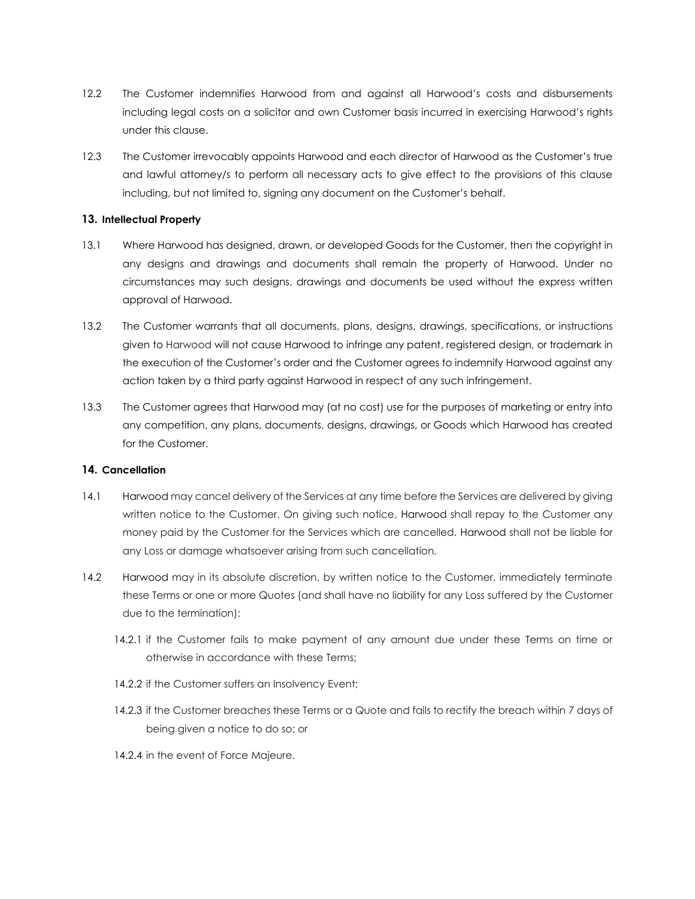- 12.2 The Customer indemnifies Harwood from and against all Harwood's costs and disbursements including legal costs on a solicitor and own Customer basis incurred in exercising Harwood's rights under this clause.
- 12.3 The Customer irrevocably appoints Harwood and each director of Harwood as the Customer's true and lawful attorney/s to perform all necessary acts to give effect to the provisions of this clause including, but not limited to, signing any document on the Customer's behalf.

# **13. Intellectual Property**

- 13.1 Where Harwood has designed, drawn, or developed Goods for the Customer, then the copyright in any designs and drawings and documents shall remain the property of Harwood. Under no circumstances may such designs, drawings and documents be used without the express written approval of Harwood.
- 13.2 The Customer warrants that all documents, plans, designs, drawings, specifications, or instructions given to Harwood will not cause Harwood to infringe any patent, registered design, or trademark in the execution of the Customer's order and the Customer agrees to indemnify Harwood against any action taken by a third party against Harwood in respect of any such infringement.
- 13.3 The Customer agrees that Harwood may (at no cost) use for the purposes of marketing or entry into any competition, any plans, documents, designs, drawings, or Goods which Harwood has created for the Customer.

# **14. Cancellation**

- 14.1 Harwood may cancel delivery of the Services at any time before the Services are delivered by giving written notice to the Customer. On giving such notice, Harwood shall repay to the Customer any money paid by the Customer for the Services which are cancelled. Harwood shall not be liable for any Loss or damage whatsoever arising from such cancellation.
- 14.2 Harwood may in its absolute discretion, by written notice to the Customer, immediately terminate these Terms or one or more Quotes (and shall have no liability for any Loss suffered by the Customer due to the termination):
	- 14.2.1 if the Customer fails to make payment of any amount due under these Terms on time or otherwise in accordance with these Terms;
	- 14.2.2 if the Customer suffers an Insolvency Event;
	- 14.2.3 if the Customer breaches these Terms or a Quote and fails to rectify the breach within 7 days of being given a notice to do so; or
	- 14.2.4 in the event of Force Majeure.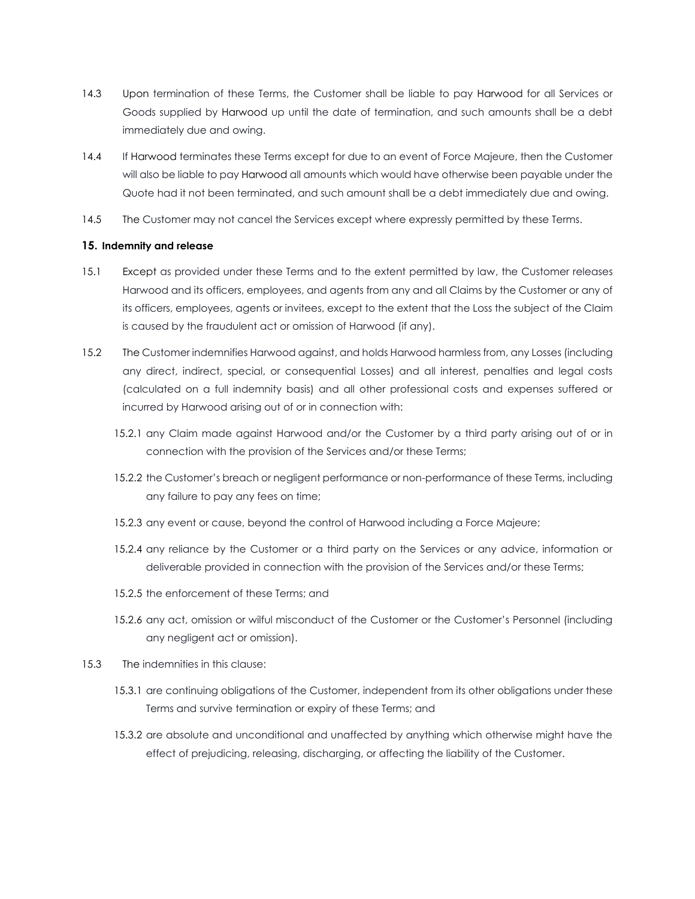- 14.3 Upon termination of these Terms, the Customer shall be liable to pay Harwood for all Services or Goods supplied by Harwood up until the date of termination, and such amounts shall be a debt immediately due and owing.
- 14.4 If Harwood terminates these Terms except for due to an event of Force Majeure, then the Customer will also be liable to pay Harwood all amounts which would have otherwise been payable under the Quote had it not been terminated, and such amount shall be a debt immediately due and owing.
- 14.5 The Customer may not cancel the Services except where expressly permitted by these Terms.

# **15. Indemnity and release**

- 15.1 Except as provided under these Terms and to the extent permitted by law, the Customer releases Harwood and its officers, employees, and agents from any and all Claims by the Customer or any of its officers, employees, agents or invitees, except to the extent that the Loss the subject of the Claim is caused by the fraudulent act or omission of Harwood (if any).
- 15.2 The Customer indemnifies Harwood against, and holds Harwood harmless from, any Losses (including any direct, indirect, special, or consequential Losses) and all interest, penalties and legal costs (calculated on a full indemnity basis) and all other professional costs and expenses suffered or incurred by Harwood arising out of or in connection with:
	- 15.2.1 any Claim made against Harwood and/or the Customer by a third party arising out of or in connection with the provision of the Services and/or these Terms;
	- 15.2.2 the Customer's breach or negligent performance or non-performance of these Terms, including any failure to pay any fees on time;
	- 15.2.3 any event or cause, beyond the control of Harwood including a Force Majeure;
	- 15.2.4 any reliance by the Customer or a third party on the Services or any advice, information or deliverable provided in connection with the provision of the Services and/or these Terms;
	- 15.2.5 the enforcement of these Terms; and
	- 15.2.6 any act, omission or wilful misconduct of the Customer or the Customer's Personnel (including any negligent act or omission).
- 15.3 The indemnities in this clause:
	- 15.3.1 are continuing obligations of the Customer, independent from its other obligations under these Terms and survive termination or expiry of these Terms; and
	- 15.3.2 are absolute and unconditional and unaffected by anything which otherwise might have the effect of prejudicing, releasing, discharging, or affecting the liability of the Customer.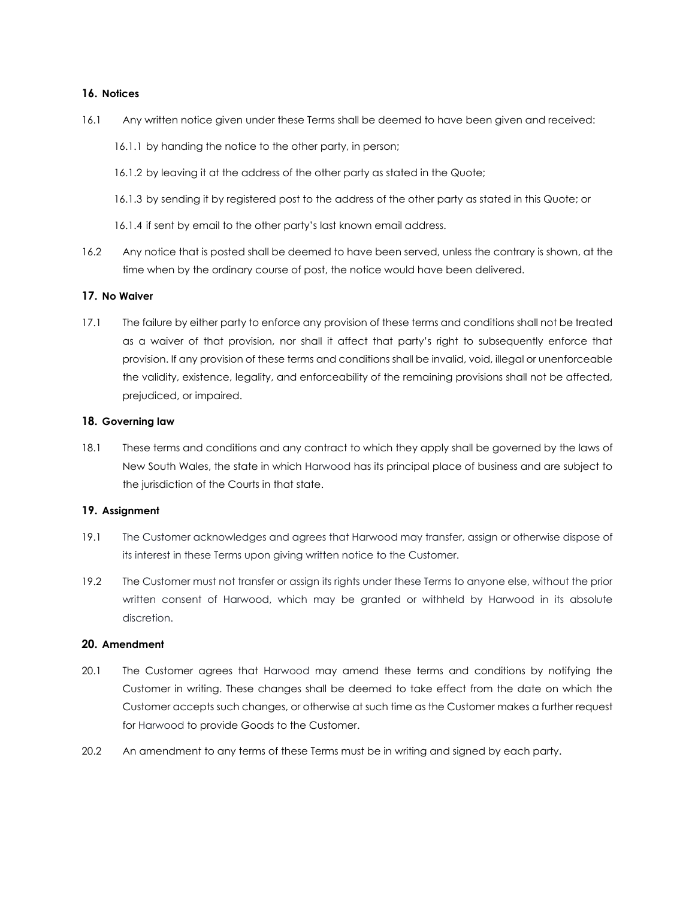# **16. Notices**

- 16.1 Any written notice given under these Terms shall be deemed to have been given and received:
	- 16.1.1 by handing the notice to the other party, in person;
	- 16.1.2 by leaving it at the address of the other party as stated in the Quote;
	- 16.1.3 by sending it by registered post to the address of the other party as stated in this Quote; or
	- 16.1.4 if sent by email to the other party's last known email address.
- 16.2 Any notice that is posted shall be deemed to have been served, unless the contrary is shown, at the time when by the ordinary course of post, the notice would have been delivered.

#### **17. No Waiver**

17.1 The failure by either party to enforce any provision of these terms and conditions shall not be treated as a waiver of that provision, nor shall it affect that party's right to subsequently enforce that provision. If any provision of these terms and conditions shall be invalid, void, illegal or unenforceable the validity, existence, legality, and enforceability of the remaining provisions shall not be affected, prejudiced, or impaired.

#### **18. Governing law**

18.1 These terms and conditions and any contract to which they apply shall be governed by the laws of New South Wales, the state in which Harwood has its principal place of business and are subject to the jurisdiction of the Courts in that state.

#### **19. Assignment**

- 19.1 The Customer acknowledges and agrees that Harwood may transfer, assign or otherwise dispose of its interest in these Terms upon giving written notice to the Customer.
- 19.2 The Customer must not transfer or assign its rights under these Terms to anyone else, without the prior written consent of Harwood, which may be granted or withheld by Harwood in its absolute discretion.

#### **20. Amendment**

- 20.1 The Customer agrees that Harwood may amend these terms and conditions by notifying the Customer in writing. These changes shall be deemed to take effect from the date on which the Customer accepts such changes, or otherwise at such time as the Customer makes a further request for Harwood to provide Goods to the Customer.
- 20.2 An amendment to any terms of these Terms must be in writing and signed by each party.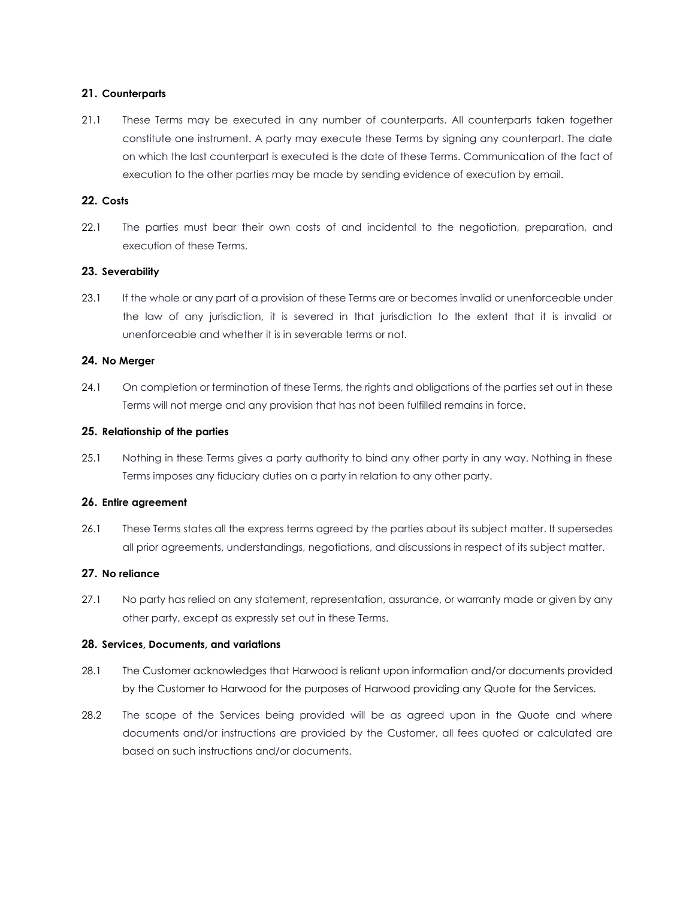# **21. Counterparts**

21.1 These Terms may be executed in any number of counterparts. All counterparts taken together constitute one instrument. A party may execute these Terms by signing any counterpart. The date on which the last counterpart is executed is the date of these Terms. Communication of the fact of execution to the other parties may be made by sending evidence of execution by email.

# **22. Costs**

22.1 The parties must bear their own costs of and incidental to the negotiation, preparation, and execution of these Terms.

# **23. Severability**

23.1 If the whole or any part of a provision of these Terms are or becomes invalid or unenforceable under the law of any jurisdiction, it is severed in that jurisdiction to the extent that it is invalid or unenforceable and whether it is in severable terms or not.

# **24. No Merger**

24.1 On completion or termination of these Terms, the rights and obligations of the parties set out in these Terms will not merge and any provision that has not been fulfilled remains in force.

# **25. Relationship of the parties**

25.1 Nothing in these Terms gives a party authority to bind any other party in any way. Nothing in these Terms imposes any fiduciary duties on a party in relation to any other party.

# **26. Entire agreement**

26.1 These Terms states all the express terms agreed by the parties about its subject matter. It supersedes all prior agreements, understandings, negotiations, and discussions in respect of its subject matter.

# **27. No reliance**

27.1 No party has relied on any statement, representation, assurance, or warranty made or given by any other party, except as expressly set out in these Terms.

# **28. Services, Documents, and variations**

- 28.1 The Customer acknowledges that Harwood is reliant upon information and/or documents provided by the Customer to Harwood for the purposes of Harwood providing any Quote for the Services.
- 28.2 The scope of the Services being provided will be as agreed upon in the Quote and where documents and/or instructions are provided by the Customer, all fees quoted or calculated are based on such instructions and/or documents.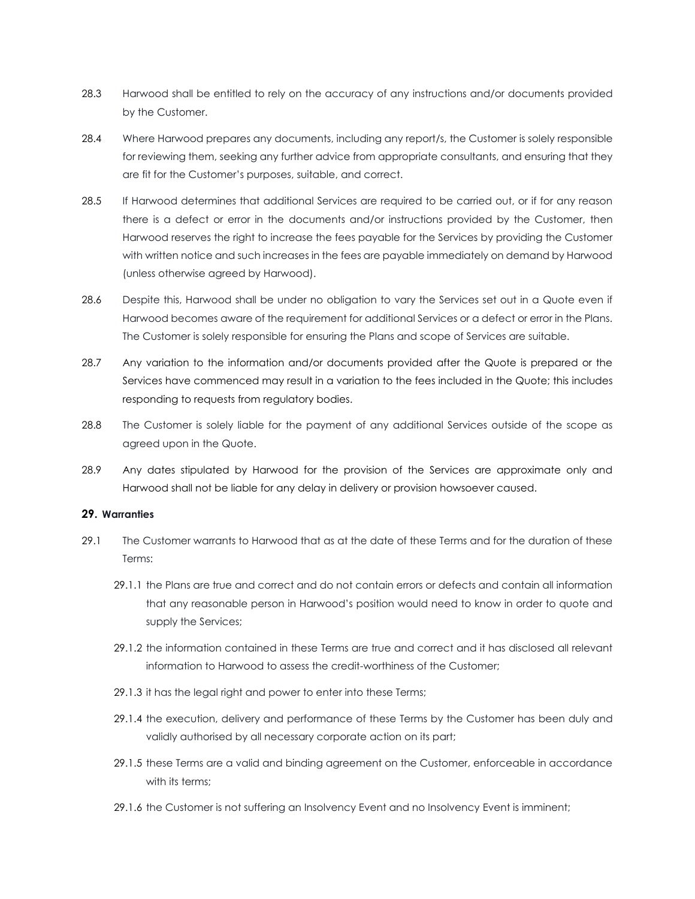- 28.3 Harwood shall be entitled to rely on the accuracy of any instructions and/or documents provided by the Customer.
- 28.4 Where Harwood prepares any documents, including any report/s, the Customer is solely responsible for reviewing them, seeking any further advice from appropriate consultants, and ensuring that they are fit for the Customer's purposes, suitable, and correct.
- 28.5 If Harwood determines that additional Services are required to be carried out, or if for any reason there is a defect or error in the documents and/or instructions provided by the Customer, then Harwood reserves the right to increase the fees payable for the Services by providing the Customer with written notice and such increases in the fees are payable immediately on demand by Harwood (unless otherwise agreed by Harwood).
- 28.6 Despite this, Harwood shall be under no obligation to vary the Services set out in a Quote even if Harwood becomes aware of the requirement for additional Services or a defect or error in the Plans. The Customer is solely responsible for ensuring the Plans and scope of Services are suitable.
- 28.7 Any variation to the information and/or documents provided after the Quote is prepared or the Services have commenced may result in a variation to the fees included in the Quote; this includes responding to requests from regulatory bodies.
- 28.8 The Customer is solely liable for the payment of any additional Services outside of the scope as agreed upon in the Quote.
- 28.9 Any dates stipulated by Harwood for the provision of the Services are approximate only and Harwood shall not be liable for any delay in delivery or provision howsoever caused.

# **29. Warranties**

- 29.1 The Customer warrants to Harwood that as at the date of these Terms and for the duration of these Terms:
	- 29.1.1 the Plans are true and correct and do not contain errors or defects and contain all information that any reasonable person in Harwood's position would need to know in order to quote and supply the Services;
	- 29.1.2 the information contained in these Terms are true and correct and it has disclosed all relevant information to Harwood to assess the credit-worthiness of the Customer;
	- 29.1.3 it has the legal right and power to enter into these Terms;
	- 29.1.4 the execution, delivery and performance of these Terms by the Customer has been duly and validly authorised by all necessary corporate action on its part;
	- 29.1.5 these Terms are a valid and binding agreement on the Customer, enforceable in accordance with its terms:
	- 29.1.6 the Customer is not suffering an Insolvency Event and no Insolvency Event is imminent;